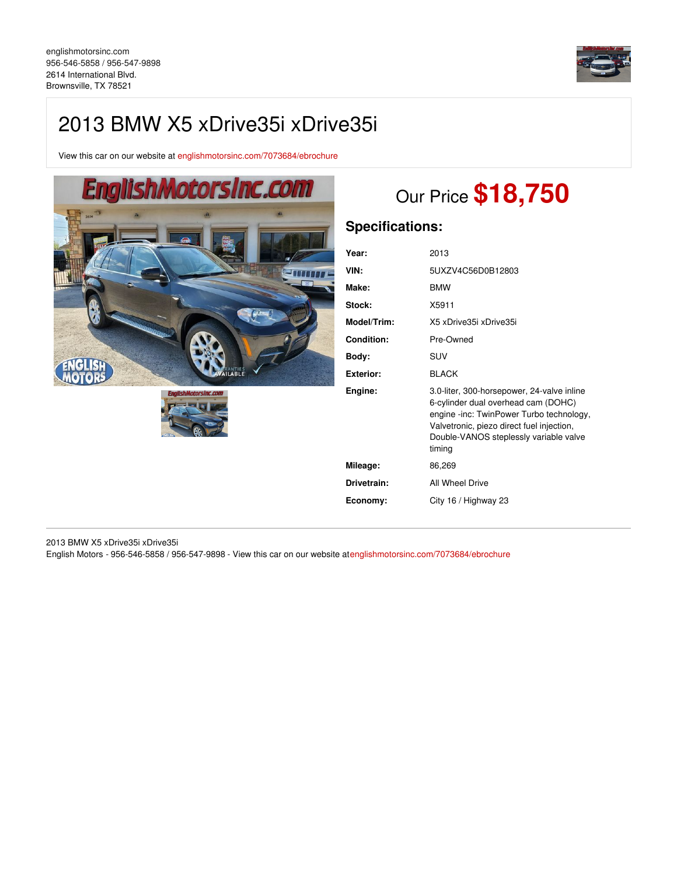

# 2013 BMW X5 xDrive35i xDrive35i

View this car on our website at [englishmotorsinc.com/7073684/ebrochure](https://englishmotorsinc.com/vehicle/7073684/2013-bmw-x5-xdrive35i-xdrive35i-brownsville-tx-78521/7073684/ebrochure)





# Our Price **\$18,750**

# **Specifications:**

| Year:             | 2013                                                                                                                                                                                                                           |
|-------------------|--------------------------------------------------------------------------------------------------------------------------------------------------------------------------------------------------------------------------------|
| VIN:              | 5UXZV4C56D0B12803                                                                                                                                                                                                              |
| Make:             | <b>BMW</b>                                                                                                                                                                                                                     |
| Stock:            | X5911                                                                                                                                                                                                                          |
| Model/Trim:       | X5 xDrive35i xDrive35i                                                                                                                                                                                                         |
| <b>Condition:</b> | Pre-Owned                                                                                                                                                                                                                      |
| Body:             | SUV                                                                                                                                                                                                                            |
| Exterior:         | <b>BLACK</b>                                                                                                                                                                                                                   |
| Engine:           | 3.0-liter, 300-horsepower, 24-valve inline<br>6-cylinder dual overhead cam (DOHC)<br>engine -inc: TwinPower Turbo technology,<br>Valvetronic, piezo direct fuel injection,<br>Double-VANOS steplessly variable valve<br>timing |
| Mileage:          | 86,269                                                                                                                                                                                                                         |
| Drivetrain:       | All Wheel Drive                                                                                                                                                                                                                |
| Economy:          | City 16 / Highway 23                                                                                                                                                                                                           |
|                   |                                                                                                                                                                                                                                |

2013 BMW X5 xDrive35i xDrive35i English Motors - 956-546-5858 / 956-547-9898 - View this car on our website a[tenglishmotorsinc.com/7073684/ebrochure](https://englishmotorsinc.com/vehicle/7073684/2013-bmw-x5-xdrive35i-xdrive35i-brownsville-tx-78521/7073684/ebrochure)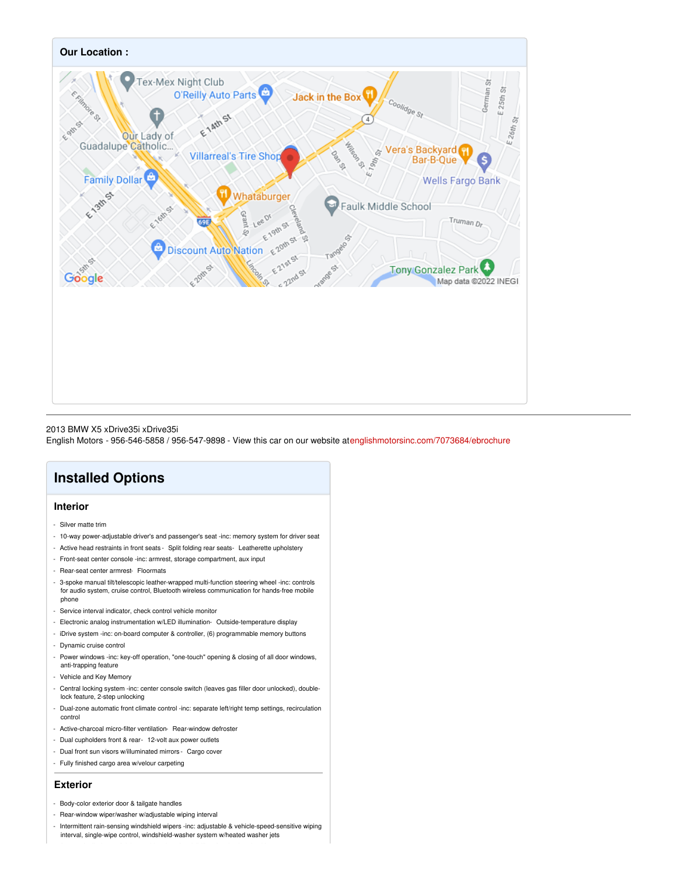

### 2013 BMW X5 xDrive35i xDrive35i

English Motors - 956-546-5858 / 956-547-9898 - View this car on our website a[tenglishmotorsinc.com/7073684/ebrochure](https://englishmotorsinc.com/vehicle/7073684/2013-bmw-x5-xdrive35i-xdrive35i-brownsville-tx-78521/7073684/ebrochure)

## **Installed Options**

## **Interior**

- Silver matte trim
- 10-way power-adjustable driver's and passenger's seat -inc: memory system for driver seat
- Active head restraints in front seats Split folding rear seats- Leatherette upholstery
- Front-seat center console -inc: armrest, storage compartment, aux input
- Rear-seat center armrest- Floormats
- 3-spoke manual tilt/telescopic leather-wrapped multi-function steering wheel -inc: controls for audio system, cruise control, Bluetooth wireless communication for hands-free mobile phone
- Service interval indicator, check control vehicle monitor
- Electronic analog instrumentation w/LED illumination- Outside-temperature display
- iDrive system -inc: on-board computer & controller, (6) programmable memory buttons
- Dynamic cruise control
- Power windows -inc: key-off operation, "one-touch" opening & closing of all door windows, anti-trapping feature
- Vehicle and Key Memory
- Central locking system -inc: center console switch (leaves gas filler door unlocked), doublelock feature, 2-step unlocking
- Dual-zone automatic front climate control -inc: separate left/right temp settings, recirculation control
- Active-charcoal micro-filter ventilation- Rear-window defroster
- Dual cupholders front & rear- 12-volt aux power outlets
- Dual front sun visors w/illuminated mirrors Cargo cover
- Fully finished cargo area w/velour carpeting

#### **Exterior**

- Body-color exterior door & tailgate handles
- Rear-window wiper/washer w/adjustable wiping interval
- Intermittent rain-sensing windshield wipers -inc: adjustable & vehicle-speed-sensitive wiping interval, single-wipe control, windshield-washer system w/heated washer jets